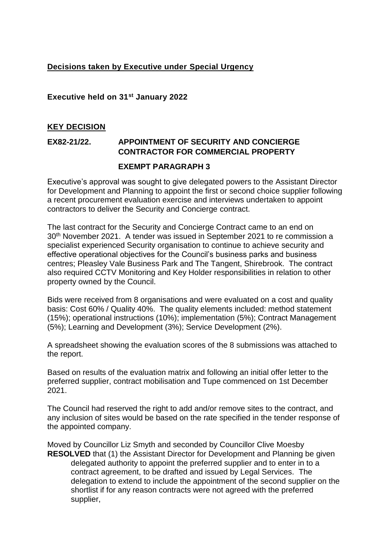## **Decisions taken by Executive under Special Urgency**

**Executive held on 31st January 2022**

## **KEY DECISION**

## **EX82-21/22. APPOINTMENT OF SECURITY AND CONCIERGE CONTRACTOR FOR COMMERCIAL PROPERTY**

## **EXEMPT PARAGRAPH 3**

Executive's approval was sought to give delegated powers to the Assistant Director for Development and Planning to appoint the first or second choice supplier following a recent procurement evaluation exercise and interviews undertaken to appoint contractors to deliver the Security and Concierge contract.

The last contract for the Security and Concierge Contract came to an end on 30<sup>th</sup> November 2021. A tender was issued in September 2021 to re commission a specialist experienced Security organisation to continue to achieve security and effective operational objectives for the Council's business parks and business centres; Pleasley Vale Business Park and The Tangent, Shirebrook. The contract also required CCTV Monitoring and Key Holder responsibilities in relation to other property owned by the Council.

Bids were received from 8 organisations and were evaluated on a cost and quality basis: Cost 60% / Quality 40%. The quality elements included: method statement (15%); operational instructions (10%); implementation (5%); Contract Management (5%); Learning and Development (3%); Service Development (2%).

A spreadsheet showing the evaluation scores of the 8 submissions was attached to the report.

Based on results of the evaluation matrix and following an initial offer letter to the preferred supplier, contract mobilisation and Tupe commenced on 1st December 2021.

The Council had reserved the right to add and/or remove sites to the contract, and any inclusion of sites would be based on the rate specified in the tender response of the appointed company.

Moved by Councillor Liz Smyth and seconded by Councillor Clive Moesby **RESOLVED** that (1) the Assistant Director for Development and Planning be given delegated authority to appoint the preferred supplier and to enter in to a contract agreement, to be drafted and issued by Legal Services. The delegation to extend to include the appointment of the second supplier on the shortlist if for any reason contracts were not agreed with the preferred supplier,